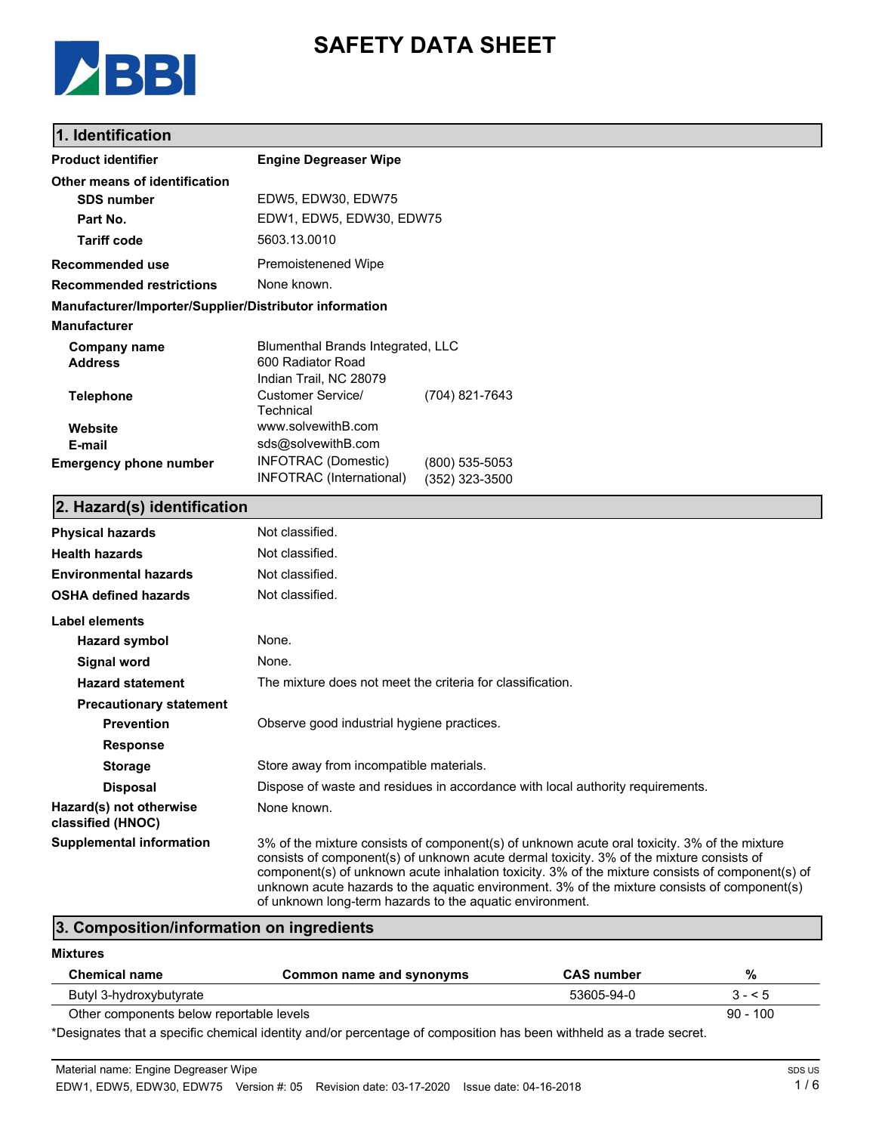

# **SAFETY DATA SHEET**

### **1. Identification**

| <b>Product identifier</b>                              | <b>Engine Degreaser Wipe</b>                                               |
|--------------------------------------------------------|----------------------------------------------------------------------------|
| Other means of identification                          |                                                                            |
| <b>SDS number</b>                                      | EDW5, EDW30, EDW75                                                         |
| Part No.                                               | EDW1, EDW5, EDW30, EDW75                                                   |
| <b>Tariff code</b>                                     | 5603.13.0010                                                               |
| <b>Recommended use</b>                                 | <b>Premoistenened Wipe</b>                                                 |
| <b>Recommended restrictions</b>                        | None known.                                                                |
| Manufacturer/Importer/Supplier/Distributor information |                                                                            |
| <b>Manufacturer</b>                                    |                                                                            |
| <b>Company name</b>                                    | Blumenthal Brands Integrated, LLC                                          |
| <b>Address</b>                                         | 600 Radiator Road                                                          |
|                                                        | Indian Trail, NC 28079<br><b>Customer Service/</b>                         |
| <b>Telephone</b>                                       | (704) 821-7643<br>Technical                                                |
| Website                                                | www.solvewithB.com                                                         |
| E-mail                                                 | sds@solvewithB.com                                                         |
| <b>Emergency phone number</b>                          | <b>INFOTRAC</b> (Domestic)<br>$(800)$ 535-5053<br>INFOTRAC (International) |
|                                                        | (352) 323-3500                                                             |
| 2. Hazard(s) identification                            |                                                                            |
| <b>Physical hazards</b>                                | Not classified.                                                            |
| <b>Health hazards</b>                                  | Not classified.                                                            |
| <b>Environmental hazards</b>                           | Not classified.                                                            |
| <b>OSHA defined hazards</b>                            | Not classified.                                                            |
| <b>Label elements</b>                                  |                                                                            |
| <b>Hazard symbol</b>                                   | None.                                                                      |
| Signal word                                            | None.                                                                      |
| <b>Hazard statement</b>                                | The mixture does not meet the criteria for classification.                 |
| <b>Precautionary statement</b>                         |                                                                            |
| <b>Prevention</b>                                      | Observe good industrial hygiene practices.                                 |
| <b>Response</b>                                        |                                                                            |
| <b>Storage</b>                                         | Store away from incompatible materials.                                    |

of unknown long-term hazards to the aquatic environment. **3. Composition/information on ingredients**

#### **Mixtures**

**Hazard(s) not otherwise classified (HNOC)**

| <b>Chemical name</b>                     | Common name and synonyms | <b>CAS</b> number | %          |
|------------------------------------------|--------------------------|-------------------|------------|
| Butyl 3-hydroxybutyrate                  |                          | 53605-94-0        | $3 - 5$    |
| Other components below reportable levels |                          |                   | $90 - 100$ |

\*Designates that a specific chemical identity and/or percentage of composition has been withheld as a trade secret.

**Disposal** Dispose of waste and residues in accordance with local authority requirements.

**Supplemental information** 3% of the mixture consists of component(s) of unknown acute oral toxicity. 3% of the mixture

consists of component(s) of unknown acute dermal toxicity. 3% of the mixture consists of component(s) of unknown acute inhalation toxicity. 3% of the mixture consists of component(s) of unknown acute hazards to the aquatic environment. 3% of the mixture consists of component(s)

None known.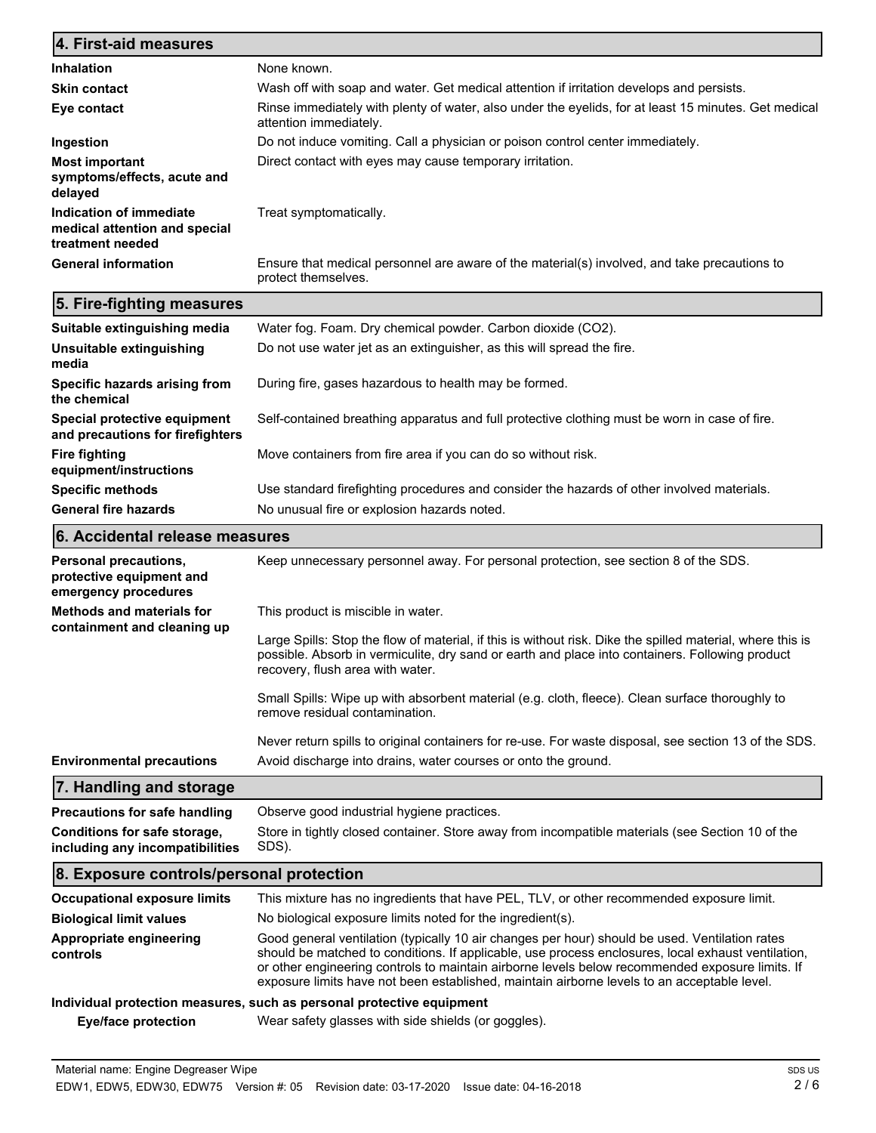| 4. First-aid measures                                                        |                                                                                                                                |
|------------------------------------------------------------------------------|--------------------------------------------------------------------------------------------------------------------------------|
| <b>Inhalation</b>                                                            | None known.                                                                                                                    |
| <b>Skin contact</b>                                                          | Wash off with soap and water. Get medical attention if irritation develops and persists.                                       |
| Eye contact                                                                  | Rinse immediately with plenty of water, also under the eyelids, for at least 15 minutes. Get medical<br>attention immediately. |
| Ingestion                                                                    | Do not induce vomiting. Call a physician or poison control center immediately.                                                 |
| <b>Most important</b><br>symptoms/effects, acute and<br>delayed              | Direct contact with eyes may cause temporary irritation.                                                                       |
| Indication of immediate<br>medical attention and special<br>treatment needed | Treat symptomatically.                                                                                                         |
| <b>General information</b>                                                   | Ensure that medical personnel are aware of the material(s) involved, and take precautions to<br>protect themselves.            |

# **5. Fire-fighting measures**

| Suitable extinguishing media                                     | Water fog. Foam. Dry chemical powder. Carbon dioxide (CO2).                                   |
|------------------------------------------------------------------|-----------------------------------------------------------------------------------------------|
| Unsuitable extinguishing<br>media                                | Do not use water jet as an extinguisher, as this will spread the fire.                        |
| Specific hazards arising from<br>the chemical                    | During fire, gases hazardous to health may be formed.                                         |
| Special protective equipment<br>and precautions for firefighters | Self-contained breathing apparatus and full protective clothing must be worn in case of fire. |
| <b>Fire fighting</b><br>equipment/instructions                   | Move containers from fire area if you can do so without risk.                                 |
| <b>Specific methods</b>                                          | Use standard firefighting procedures and consider the hazards of other involved materials.    |
| <b>General fire hazards</b>                                      | No unusual fire or explosion hazards noted.                                                   |

## **6. Accidental release measures**

| Personal precautions,<br>protective equipment and<br>emergency procedures | Keep unnecessary personnel away. For personal protection, see section 8 of the SDS.                                                                                                                                                                                                                                                                                                                    |
|---------------------------------------------------------------------------|--------------------------------------------------------------------------------------------------------------------------------------------------------------------------------------------------------------------------------------------------------------------------------------------------------------------------------------------------------------------------------------------------------|
| <b>Methods and materials for</b><br>containment and cleaning up           | This product is miscible in water.                                                                                                                                                                                                                                                                                                                                                                     |
|                                                                           | Large Spills: Stop the flow of material, if this is without risk. Dike the spilled material, where this is<br>possible. Absorb in vermiculite, dry sand or earth and place into containers. Following product<br>recovery, flush area with water.                                                                                                                                                      |
|                                                                           | Small Spills: Wipe up with absorbent material (e.g. cloth, fleece). Clean surface thoroughly to<br>remove residual contamination.                                                                                                                                                                                                                                                                      |
|                                                                           | Never return spills to original containers for re-use. For waste disposal, see section 13 of the SDS.                                                                                                                                                                                                                                                                                                  |
| <b>Environmental precautions</b>                                          | Avoid discharge into drains, water courses or onto the ground.                                                                                                                                                                                                                                                                                                                                         |
| 7. Handling and storage                                                   |                                                                                                                                                                                                                                                                                                                                                                                                        |
| <b>Precautions for safe handling</b>                                      | Observe good industrial hygiene practices.                                                                                                                                                                                                                                                                                                                                                             |
| Conditions for safe storage,<br>including any incompatibilities           | Store in tightly closed container. Store away from incompatible materials (see Section 10 of the<br>SDS).                                                                                                                                                                                                                                                                                              |
| 8. Exposure controls/personal protection                                  |                                                                                                                                                                                                                                                                                                                                                                                                        |
| <b>Occupational exposure limits</b>                                       | This mixture has no ingredients that have PEL, TLV, or other recommended exposure limit.                                                                                                                                                                                                                                                                                                               |
| <b>Biological limit values</b>                                            | No biological exposure limits noted for the ingredient(s).                                                                                                                                                                                                                                                                                                                                             |
| Appropriate engineering<br>controls                                       | Good general ventilation (typically 10 air changes per hour) should be used. Ventilation rates<br>should be matched to conditions. If applicable, use process enclosures, local exhaust ventilation,<br>or other engineering controls to maintain airborne levels below recommended exposure limits. If<br>exposure limits have not been established, maintain airborne levels to an acceptable level. |
|                                                                           | Individual protection measures, such as personal protective equipment                                                                                                                                                                                                                                                                                                                                  |
| Eye/face protection                                                       | Wear safety glasses with side shields (or goggles).                                                                                                                                                                                                                                                                                                                                                    |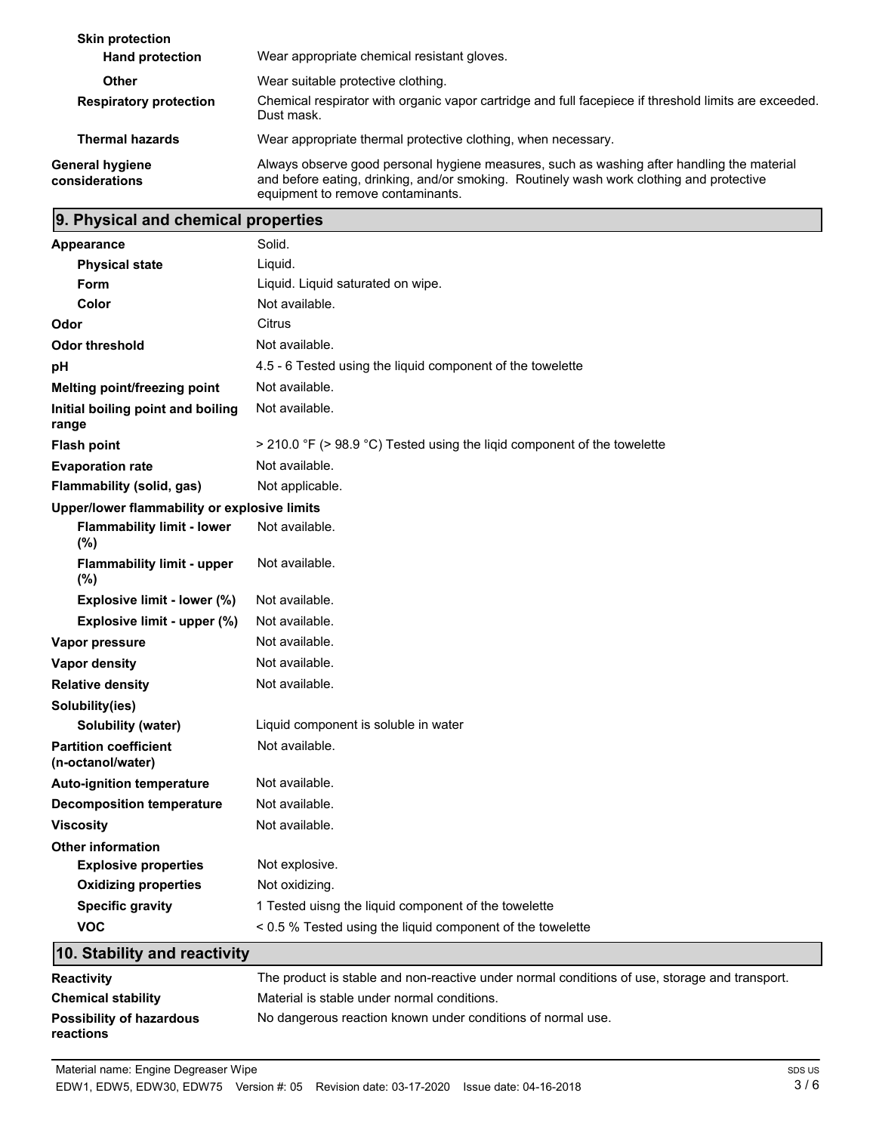| <b>Skin protection</b><br><b>Hand protection</b> | Wear appropriate chemical resistant gloves.                                                                                                                                                                                 |
|--------------------------------------------------|-----------------------------------------------------------------------------------------------------------------------------------------------------------------------------------------------------------------------------|
| <b>Other</b>                                     | Wear suitable protective clothing.                                                                                                                                                                                          |
| <b>Respiratory protection</b>                    | Chemical respirator with organic vapor cartridge and full facepiece if threshold limits are exceeded.<br>Dust mask.                                                                                                         |
| <b>Thermal hazards</b>                           | Wear appropriate thermal protective clothing, when necessary.                                                                                                                                                               |
| <b>General hygiene</b><br>considerations         | Always observe good personal hygiene measures, such as washing after handling the material<br>and before eating, drinking, and/or smoking. Routinely wash work clothing and protective<br>equipment to remove contaminants. |

# **9. Physical and chemical properties**

| <b>Appearance</b>                                 | Solid.                                                                   |  |
|---------------------------------------------------|--------------------------------------------------------------------------|--|
| <b>Physical state</b>                             | Liquid.                                                                  |  |
| Form                                              | Liquid. Liquid saturated on wipe.                                        |  |
| Color                                             | Not available.                                                           |  |
| Odor                                              | Citrus                                                                   |  |
| <b>Odor threshold</b>                             | Not available.                                                           |  |
| рH                                                | 4.5 - 6 Tested using the liquid component of the towelette               |  |
| Melting point/freezing point                      | Not available.                                                           |  |
| Initial boiling point and boiling<br>range        | Not available.                                                           |  |
| <b>Flash point</b>                                | > 210.0 °F (> 98.9 °C) Tested using the ligid component of the towelette |  |
| <b>Evaporation rate</b>                           | Not available.                                                           |  |
| Flammability (solid, gas)                         | Not applicable.                                                          |  |
| Upper/lower flammability or explosive limits      |                                                                          |  |
| <b>Flammability limit - lower</b><br>(%)          | Not available.                                                           |  |
| <b>Flammability limit - upper</b><br>$(\%)$       | Not available.                                                           |  |
| Explosive limit - lower (%)                       | Not available.                                                           |  |
| Explosive limit - upper (%)                       | Not available.                                                           |  |
| Vapor pressure                                    | Not available.                                                           |  |
| Vapor density                                     | Not available.                                                           |  |
| <b>Relative density</b>                           | Not available.                                                           |  |
| Solubility(ies)                                   |                                                                          |  |
| Solubility (water)                                | Liquid component is soluble in water                                     |  |
| <b>Partition coefficient</b><br>(n-octanol/water) | Not available.                                                           |  |
| <b>Auto-ignition temperature</b>                  | Not available.                                                           |  |
| <b>Decomposition temperature</b>                  | Not available.                                                           |  |
| <b>Viscosity</b>                                  | Not available.                                                           |  |
| <b>Other information</b>                          |                                                                          |  |
| <b>Explosive properties</b>                       | Not explosive.                                                           |  |
| <b>Oxidizing properties</b>                       | Not oxidizing.                                                           |  |
| <b>Specific gravity</b>                           | 1 Tested uisng the liquid component of the towelette                     |  |
| <b>VOC</b>                                        | < 0.5 % Tested using the liquid component of the towelette               |  |
| 10. Stability and reactivity                      |                                                                          |  |

| <b>Reactivity</b>                            | The product is stable and non-reactive under normal conditions of use, storage and transport. |
|----------------------------------------------|-----------------------------------------------------------------------------------------------|
| <b>Chemical stability</b>                    | Material is stable under normal conditions.                                                   |
| <b>Possibility of hazardous</b><br>reactions | No dangerous reaction known under conditions of normal use.                                   |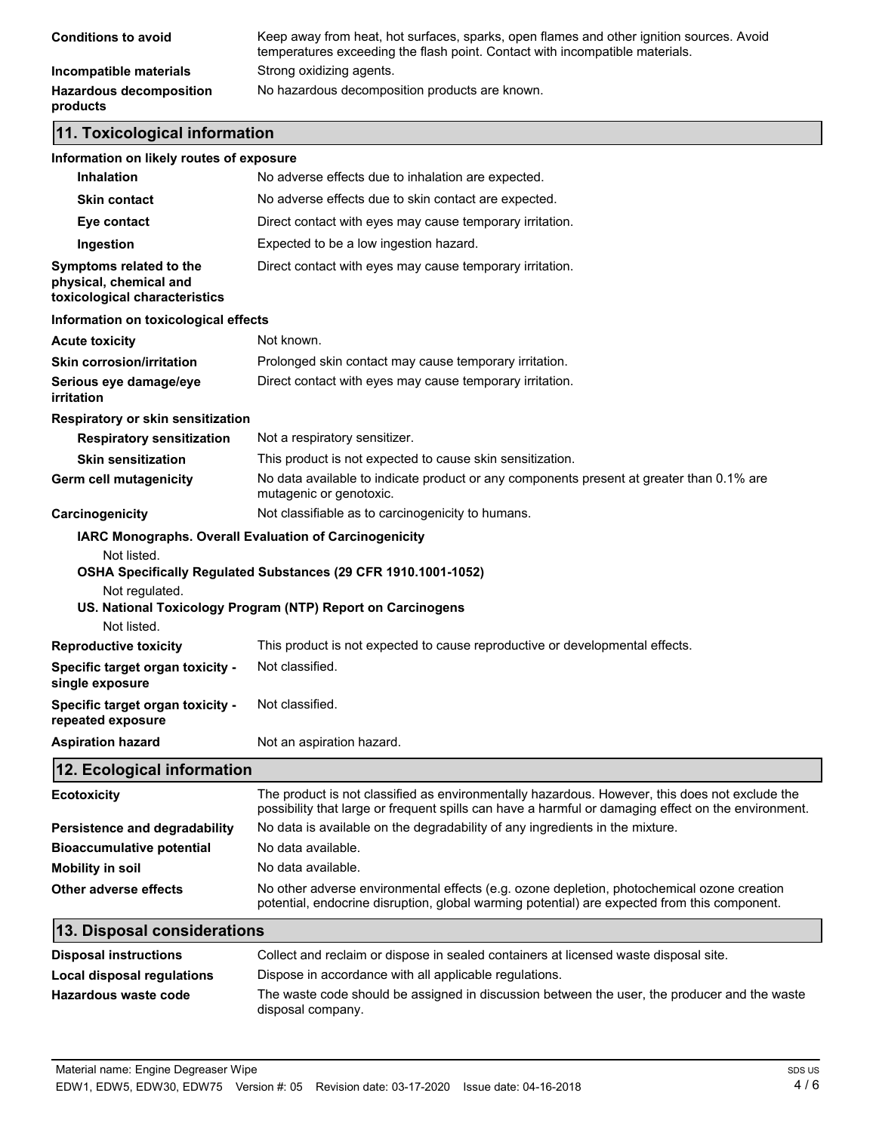| <b>Conditions to avoid</b>                 | Keep away from heat, hot surfaces, sparks, open flames and other ignition sources. Avoid<br>temperatures exceeding the flash point. Contact with incompatible materials. |
|--------------------------------------------|--------------------------------------------------------------------------------------------------------------------------------------------------------------------------|
| Incompatible materials                     | Strong oxidizing agents.                                                                                                                                                 |
| <b>Hazardous decomposition</b><br>products | No hazardous decomposition products are known.                                                                                                                           |

## **11. Toxicological information**

| Information on likely routes of exposure                                           |                                                                                                                                                                                                       |  |
|------------------------------------------------------------------------------------|-------------------------------------------------------------------------------------------------------------------------------------------------------------------------------------------------------|--|
| <b>Inhalation</b>                                                                  | No adverse effects due to inhalation are expected.                                                                                                                                                    |  |
| <b>Skin contact</b>                                                                | No adverse effects due to skin contact are expected.                                                                                                                                                  |  |
| Eye contact                                                                        | Direct contact with eyes may cause temporary irritation.                                                                                                                                              |  |
| Ingestion                                                                          | Expected to be a low ingestion hazard.                                                                                                                                                                |  |
| Symptoms related to the<br>physical, chemical and<br>toxicological characteristics | Direct contact with eyes may cause temporary irritation.                                                                                                                                              |  |
| Information on toxicological effects                                               |                                                                                                                                                                                                       |  |
| <b>Acute toxicity</b>                                                              | Not known.                                                                                                                                                                                            |  |
| <b>Skin corrosion/irritation</b>                                                   | Prolonged skin contact may cause temporary irritation.                                                                                                                                                |  |
| Serious eye damage/eye<br>irritation                                               | Direct contact with eyes may cause temporary irritation.                                                                                                                                              |  |
| Respiratory or skin sensitization                                                  |                                                                                                                                                                                                       |  |
| <b>Respiratory sensitization</b>                                                   | Not a respiratory sensitizer.                                                                                                                                                                         |  |
| <b>Skin sensitization</b>                                                          | This product is not expected to cause skin sensitization.                                                                                                                                             |  |
| Germ cell mutagenicity                                                             | No data available to indicate product or any components present at greater than 0.1% are<br>mutagenic or genotoxic.                                                                                   |  |
| Carcinogenicity                                                                    | Not classifiable as to carcinogenicity to humans.                                                                                                                                                     |  |
|                                                                                    | IARC Monographs. Overall Evaluation of Carcinogenicity                                                                                                                                                |  |
| Not listed.                                                                        |                                                                                                                                                                                                       |  |
|                                                                                    | OSHA Specifically Regulated Substances (29 CFR 1910.1001-1052)                                                                                                                                        |  |
| Not regulated.                                                                     | US. National Toxicology Program (NTP) Report on Carcinogens                                                                                                                                           |  |
| Not listed.                                                                        |                                                                                                                                                                                                       |  |
| <b>Reproductive toxicity</b>                                                       | This product is not expected to cause reproductive or developmental effects.                                                                                                                          |  |
| Specific target organ toxicity -<br>single exposure                                | Not classified.                                                                                                                                                                                       |  |
| Specific target organ toxicity -<br>repeated exposure                              | Not classified.                                                                                                                                                                                       |  |
| <b>Aspiration hazard</b>                                                           | Not an aspiration hazard.                                                                                                                                                                             |  |
| 12. Ecological information                                                         |                                                                                                                                                                                                       |  |
| <b>Ecotoxicity</b>                                                                 | The product is not classified as environmentally hazardous. However, this does not exclude the<br>possibility that large or frequent spills can have a harmful or damaging effect on the environment. |  |
| Persistence and degradability                                                      | No data is available on the degradability of any ingredients in the mixture.                                                                                                                          |  |
| <b>Bioaccumulative potential</b>                                                   | No data available.                                                                                                                                                                                    |  |
| <b>Mobility in soil</b>                                                            | No data available.                                                                                                                                                                                    |  |
| Other adverse effects                                                              | No other adverse environmental effects (e.g. ozone depletion, photochemical ozone creation<br>potential, endocrine disruption, global warming potential) are expected from this component.            |  |
| 13. Disposal considerations                                                        |                                                                                                                                                                                                       |  |
| <b>Disposal instructions</b>                                                       | Collect and reclaim or dispose in sealed containers at licensed waste disposal site.                                                                                                                  |  |
| Local disposal regulations                                                         | Dispose in accordance with all applicable regulations.                                                                                                                                                |  |
| <b>Hazardous waste code</b>                                                        | The waste code should be assigned in discussion between the user, the producer and the waste<br>disposal company.                                                                                     |  |
|                                                                                    |                                                                                                                                                                                                       |  |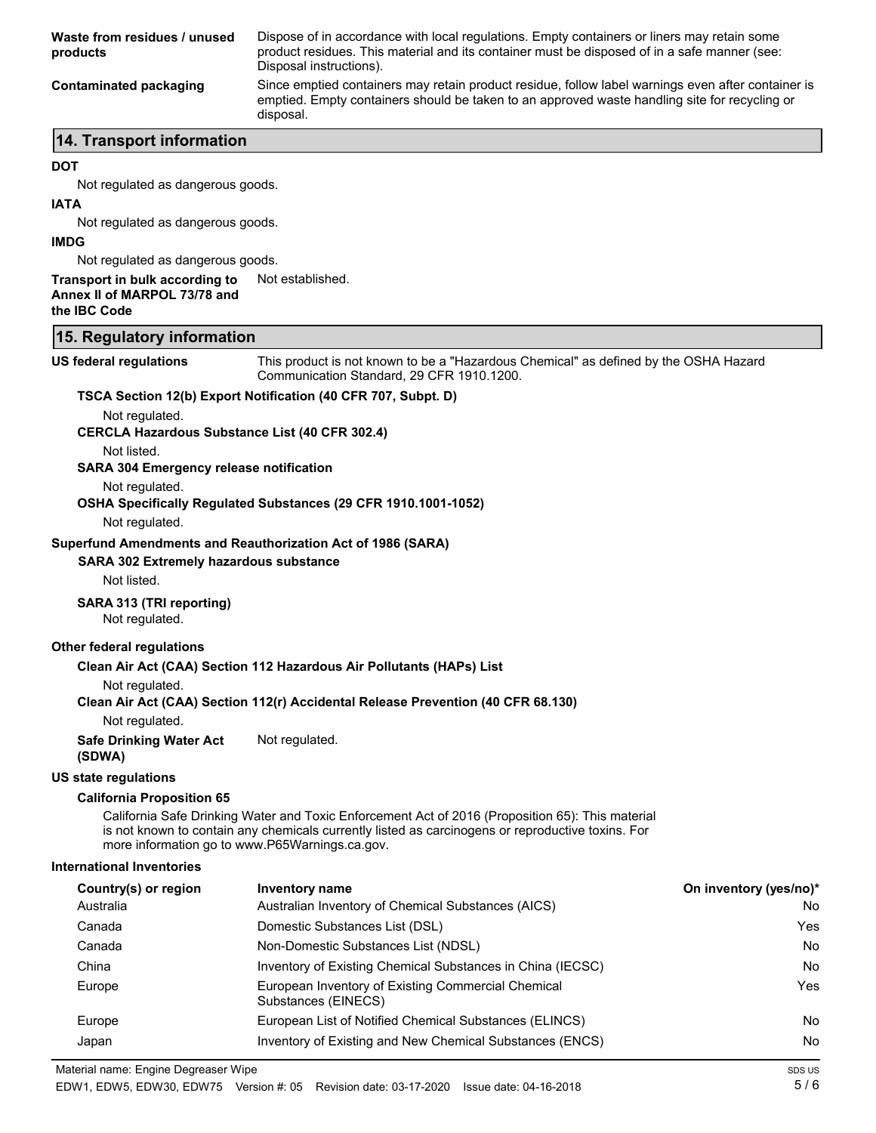| Waste from residues / unused<br>products | Dispose of in accordance with local regulations. Empty containers or liners may retain some<br>product residues. This material and its container must be disposed of in a safe manner (see:<br>Disposal instructions). |
|------------------------------------------|------------------------------------------------------------------------------------------------------------------------------------------------------------------------------------------------------------------------|
| Contaminated packaging                   | Since emptied containers may retain product residue, follow label warnings even after container is<br>emptied. Empty containers should be taken to an approved waste handling site for recycling or<br>disposal.       |
| 14 Transport information                 |                                                                                                                                                                                                                        |

### **14. Transport information**

#### **DOT**

Not regulated as dangerous goods.

#### **IATA**

Not regulated as dangerous goods.

#### **IMDG**

Not regulated as dangerous goods.

#### **Transport in bulk according to** Not established. **Annex II of MARPOL 73/78 and**

**the IBC Code**

#### **15. Regulatory information**

**US federal regulations**

This product is not known to be a "Hazardous Chemical" as defined by the OSHA Hazard Communication Standard, 29 CFR 1910.1200.

#### **TSCA Section 12(b) Export Notification (40 CFR 707, Subpt. D)**

Not regulated.

**CERCLA Hazardous Substance List (40 CFR 302.4)**

Not listed.

**SARA 304 Emergency release notification**

Not regulated.

#### **OSHA Specifically Regulated Substances (29 CFR 1910.1001-1052)**

Not regulated.

#### **Superfund Amendments and Reauthorization Act of 1986 (SARA)**

**SARA 302 Extremely hazardous substance**

Not listed.

#### **SARA 313 (TRI reporting)**

Not regulated.

#### **Other federal regulations**

#### **Clean Air Act (CAA) Section 112 Hazardous Air Pollutants (HAPs) List**

Not regulated.

#### **Clean Air Act (CAA) Section 112(r) Accidental Release Prevention (40 CFR 68.130)**

Not regulated.

#### **Safe Drinking Water Act** Not regulated.

**(SDWA)**

#### **US state regulations**

#### **California Proposition 65**

California Safe Drinking Water and Toxic Enforcement Act of 2016 (Proposition 65): This material is not known to contain any chemicals currently listed as carcinogens or reproductive toxins. For more information go to www.P65Warnings.ca.gov.

#### **International Inventories**

| Country(s) or region | <b>Inventory name</b>                                                     | On inventory (yes/no)* |
|----------------------|---------------------------------------------------------------------------|------------------------|
| Australia            | Australian Inventory of Chemical Substances (AICS)                        | No                     |
| Canada               | Domestic Substances List (DSL)                                            | Yes                    |
| Canada               | Non-Domestic Substances List (NDSL)                                       | No                     |
| China                | Inventory of Existing Chemical Substances in China (IECSC)                | No                     |
| Europe               | European Inventory of Existing Commercial Chemical<br>Substances (EINECS) | Yes                    |
| Europe               | European List of Notified Chemical Substances (ELINCS)                    | No                     |
| Japan                | Inventory of Existing and New Chemical Substances (ENCS)                  | No                     |